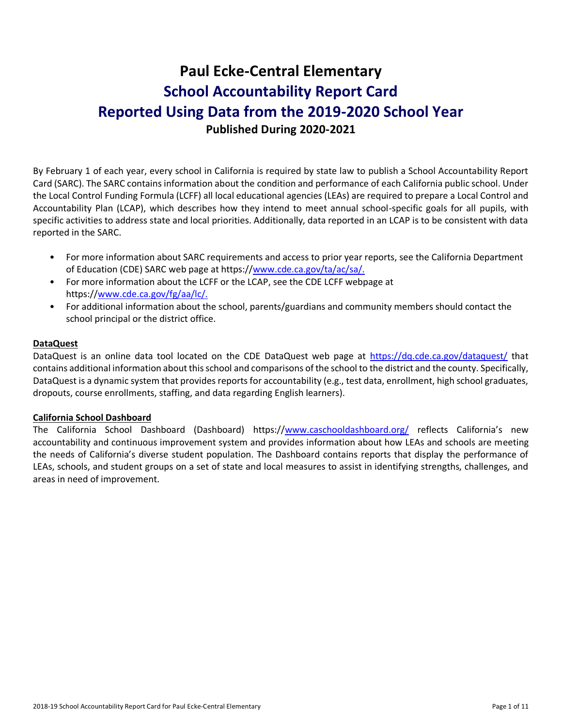# **Paul Ecke-Central Elementary School Accountability Report Card Reported Using Data from the 2019-2020 School Year Published During 2020-2021**

By February 1 of each year, every school in California is required by state law to publish a School Accountability Report Card (SARC). The SARC contains information about the condition and performance of each California public school. Under the Local Control Funding Formula (LCFF) all local educational agencies (LEAs) are required to prepare a Local Control and Accountability Plan (LCAP), which describes how they intend to meet annual school-specific goals for all pupils, with specific activities to address state and local priorities. Additionally, data reported in an LCAP is to be consistent with data reported in the SARC.

- For more information about SARC requirements and access to prior year reports, see the California Department of Education (CDE) SARC web page at https:/[/www.cde.ca.gov/ta/ac/sa/.](https://www.cde.ca.gov/ta/ac/sa/)
- For more information about the LCFF or the LCAP, see the CDE LCFF webpage at https:/[/www.cde.ca.gov/fg/aa/lc/.](https://www.cde.ca.gov/fg/aa/lc/)
- For additional information about the school, parents/guardians and community members should contact the school principal or the district office.

### **DataQuest**

DataQuest is an online data tool located on the CDE DataQuest web page at<https://dq.cde.ca.gov/dataquest/> that contains additional information about this school and comparisons of the school to the district and the county. Specifically, DataQuest is a dynamic system that provides reports for accountability (e.g., test data, enrollment, high school graduates, dropouts, course enrollments, staffing, and data regarding English learners).

### **California School Dashboard**

The California School Dashboard (Dashboard) https:/[/www.caschooldashboard.org/](https://www.caschooldashboard.org/) reflects California's new accountability and continuous improvement system and provides information about how LEAs and schools are meeting the needs of California's diverse student population. The Dashboard contains reports that display the performance of LEAs, schools, and student groups on a set of state and local measures to assist in identifying strengths, challenges, and areas in need of improvement.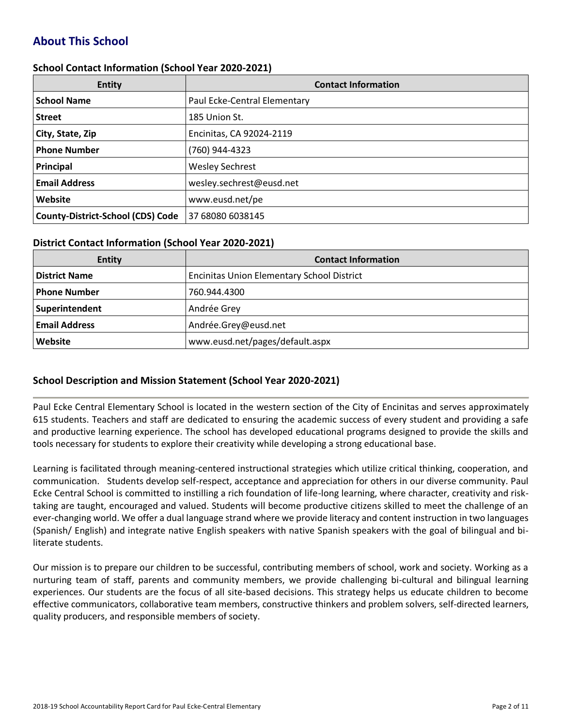# **About This School**

#### **School Contact Information (School Year 2020-2021)**

| <b>Entity</b>                            | <b>Contact Information</b>   |
|------------------------------------------|------------------------------|
| <b>School Name</b>                       | Paul Ecke-Central Elementary |
| <b>Street</b>                            | 185 Union St.                |
| City, State, Zip                         | Encinitas, CA 92024-2119     |
| <b>Phone Number</b>                      | (760) 944-4323               |
| Principal                                | <b>Wesley Sechrest</b>       |
| <b>Email Address</b>                     | wesley.sechrest@eusd.net     |
| Website                                  | www.eusd.net/pe              |
| <b>County-District-School (CDS) Code</b> | 37 68080 6038145             |

#### **District Contact Information (School Year 2020-2021)**

| <b>Entity</b>        | <b>Contact Information</b>                        |
|----------------------|---------------------------------------------------|
| <b>District Name</b> | <b>Encinitas Union Elementary School District</b> |
| Phone Number         | 760.944.4300                                      |
| Superintendent       | Andrée Grey                                       |
| <b>Email Address</b> | Andrée.Grey@eusd.net                              |
| Website              | www.eusd.net/pages/default.aspx                   |

### **School Description and Mission Statement (School Year 2020-2021)**

Paul Ecke Central Elementary School is located in the western section of the City of Encinitas and serves approximately 615 students. Teachers and staff are dedicated to ensuring the academic success of every student and providing a safe and productive learning experience. The school has developed educational programs designed to provide the skills and tools necessary for students to explore their creativity while developing a strong educational base.

Learning is facilitated through meaning-centered instructional strategies which utilize critical thinking, cooperation, and communication. Students develop self-respect, acceptance and appreciation for others in our diverse community. Paul Ecke Central School is committed to instilling a rich foundation of life-long learning, where character, creativity and risktaking are taught, encouraged and valued. Students will become productive citizens skilled to meet the challenge of an ever-changing world. We offer a dual language strand where we provide literacy and content instruction in two languages (Spanish/ English) and integrate native English speakers with native Spanish speakers with the goal of bilingual and biliterate students.

Our mission is to prepare our children to be successful, contributing members of school, work and society. Working as a nurturing team of staff, parents and community members, we provide challenging bi-cultural and bilingual learning experiences. Our students are the focus of all site-based decisions. This strategy helps us educate children to become effective communicators, collaborative team members, constructive thinkers and problem solvers, self-directed learners, quality producers, and responsible members of society.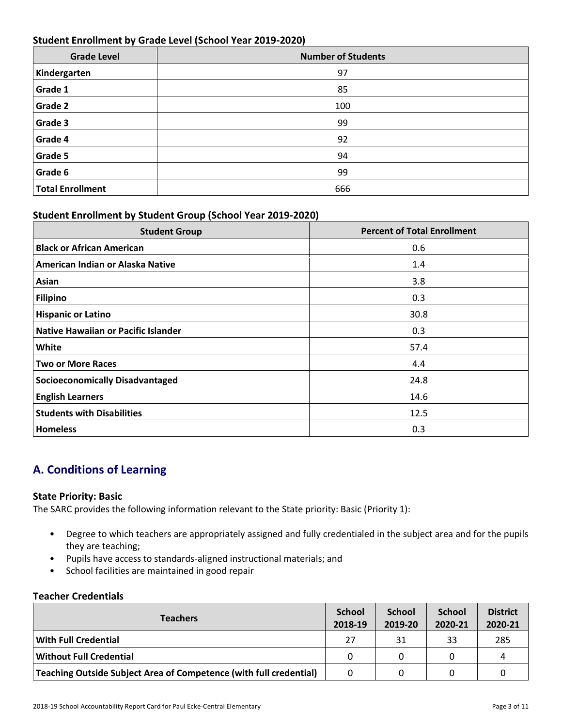### **Student Enrollment by Grade Level (School Year 2019-2020)**

| <b>Grade Level</b>      | <b>Number of Students</b> |
|-------------------------|---------------------------|
| Kindergarten            | 97                        |
| Grade 1                 | 85                        |
| Grade 2                 | 100                       |
| Grade 3                 | 99                        |
| Grade 4                 | 92                        |
| Grade 5                 | 94                        |
| Grade 6                 | 99                        |
| <b>Total Enrollment</b> | 666                       |

### **Student Enrollment by Student Group (School Year 2019-2020)**

| <b>Student Group</b>                   | <b>Percent of Total Enrollment</b> |
|----------------------------------------|------------------------------------|
| <b>Black or African American</b>       | 0.6                                |
| American Indian or Alaska Native       | 1.4                                |
| Asian                                  | 3.8                                |
| <b>Filipino</b>                        | 0.3                                |
| <b>Hispanic or Latino</b>              | 30.8                               |
| Native Hawaiian or Pacific Islander    | 0.3                                |
| White                                  | 57.4                               |
| <b>Two or More Races</b>               | 4.4                                |
| <b>Socioeconomically Disadvantaged</b> | 24.8                               |
| <b>English Learners</b>                | 14.6                               |
| <b>Students with Disabilities</b>      | 12.5                               |
| <b>Homeless</b>                        | 0.3                                |

# **A. Conditions of Learning**

### **State Priority: Basic**

The SARC provides the following information relevant to the State priority: Basic (Priority 1):

- Degree to which teachers are appropriately assigned and fully credentialed in the subject area and for the pupils they are teaching;
- Pupils have access to standards-aligned instructional materials; and
- School facilities are maintained in good repair

### **Teacher Credentials**

| <b>Teachers</b>                                                    |          | <b>School</b><br>2019-20 | <b>School</b><br>2020-21 | <b>District</b><br>2020-21 |
|--------------------------------------------------------------------|----------|--------------------------|--------------------------|----------------------------|
| With Full Credential                                               | 27       | 31                       | 33                       | 285                        |
| Without Full Credential                                            | $\Omega$ |                          |                          | Д                          |
| Teaching Outside Subject Area of Competence (with full credential) |          |                          |                          |                            |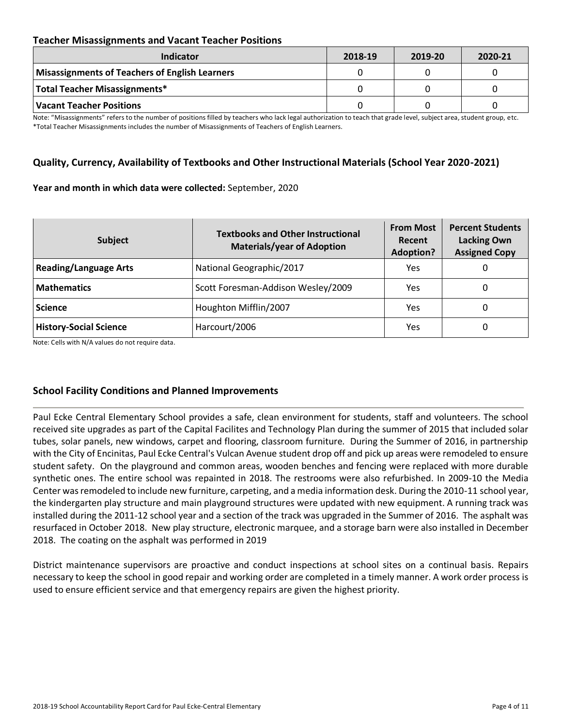### **Teacher Misassignments and Vacant Teacher Positions**

| <b>Indicator</b>                               | 2018-19 | 2019-20 | 2020-21 |
|------------------------------------------------|---------|---------|---------|
| Misassignments of Teachers of English Learners |         |         |         |
| <b>Total Teacher Misassignments*</b>           |         |         |         |
| Vacant Teacher Positions                       |         |         |         |

Note: "Misassignments" refers to the number of positions filled by teachers who lack legal authorization to teach that grade level, subject area, student group, etc. \*Total Teacher Misassignments includes the number of Misassignments of Teachers of English Learners.

### **Quality, Currency, Availability of Textbooks and Other Instructional Materials (School Year 2020-2021)**

#### **Year and month in which data were collected:** September, 2020

| <b>Subject</b>                | <b>Textbooks and Other Instructional</b><br><b>Materials/year of Adoption</b> | <b>From Most</b><br>Recent<br><b>Adoption?</b> | <b>Percent Students</b><br><b>Lacking Own</b><br><b>Assigned Copy</b> |
|-------------------------------|-------------------------------------------------------------------------------|------------------------------------------------|-----------------------------------------------------------------------|
| <b>Reading/Language Arts</b>  | National Geographic/2017                                                      | Yes                                            | O                                                                     |
| <b>Mathematics</b>            | Scott Foresman-Addison Wesley/2009                                            | Yes                                            | 0                                                                     |
| <b>Science</b>                | Houghton Mifflin/2007                                                         | Yes                                            | 0                                                                     |
| <b>History-Social Science</b> | Harcourt/2006                                                                 | Yes                                            | 0                                                                     |

Note: Cells with N/A values do not require data.

### **School Facility Conditions and Planned Improvements**

Paul Ecke Central Elementary School provides a safe, clean environment for students, staff and volunteers. The school received site upgrades as part of the Capital Facilites and Technology Plan during the summer of 2015 that included solar tubes, solar panels, new windows, carpet and flooring, classroom furniture. During the Summer of 2016, in partnership with the City of Encinitas, Paul Ecke Central's Vulcan Avenue student drop off and pick up areas were remodeled to ensure student safety. On the playground and common areas, wooden benches and fencing were replaced with more durable synthetic ones. The entire school was repainted in 2018. The restrooms were also refurbished. In 2009-10 the Media Center was remodeled to include new furniture, carpeting, and a media information desk. During the 2010-11 school year, the kindergarten play structure and main playground structures were updated with new equipment. A running track was installed during the 2011-12 school year and a section of the track was upgraded in the Summer of 2016. The asphalt was resurfaced in October 2018. New play structure, electronic marquee, and a storage barn were also installed in December 2018. The coating on the asphalt was performed in 2019

District maintenance supervisors are proactive and conduct inspections at school sites on a continual basis. Repairs necessary to keep the school in good repair and working order are completed in a timely manner. A work order process is used to ensure efficient service and that emergency repairs are given the highest priority.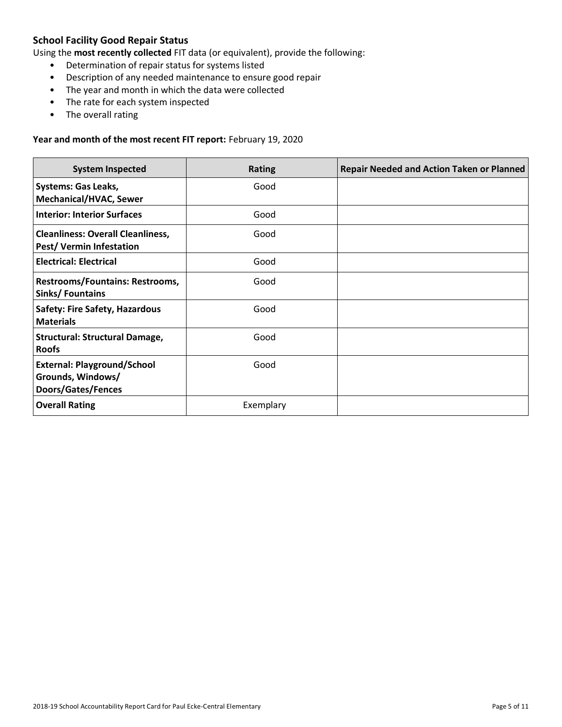# **School Facility Good Repair Status**

Using the **most recently collected** FIT data (or equivalent), provide the following:

- Determination of repair status for systems listed
- Description of any needed maintenance to ensure good repair
- The year and month in which the data were collected
- The rate for each system inspected
- The overall rating

#### **Year and month of the most recent FIT report:** February 19, 2020

| <b>System Inspected</b>                                                       | <b>Rating</b> | <b>Repair Needed and Action Taken or Planned</b> |
|-------------------------------------------------------------------------------|---------------|--------------------------------------------------|
| <b>Systems: Gas Leaks,</b><br><b>Mechanical/HVAC, Sewer</b>                   | Good          |                                                  |
| <b>Interior: Interior Surfaces</b>                                            | Good          |                                                  |
| <b>Cleanliness: Overall Cleanliness,</b><br><b>Pest/ Vermin Infestation</b>   | Good          |                                                  |
| <b>Electrical: Electrical</b>                                                 | Good          |                                                  |
| Restrooms/Fountains: Restrooms,<br>Sinks/Fountains                            | Good          |                                                  |
| <b>Safety: Fire Safety, Hazardous</b><br><b>Materials</b>                     | Good          |                                                  |
| <b>Structural: Structural Damage,</b><br><b>Roofs</b>                         | Good          |                                                  |
| <b>External: Playground/School</b><br>Grounds, Windows/<br>Doors/Gates/Fences | Good          |                                                  |
| <b>Overall Rating</b>                                                         | Exemplary     |                                                  |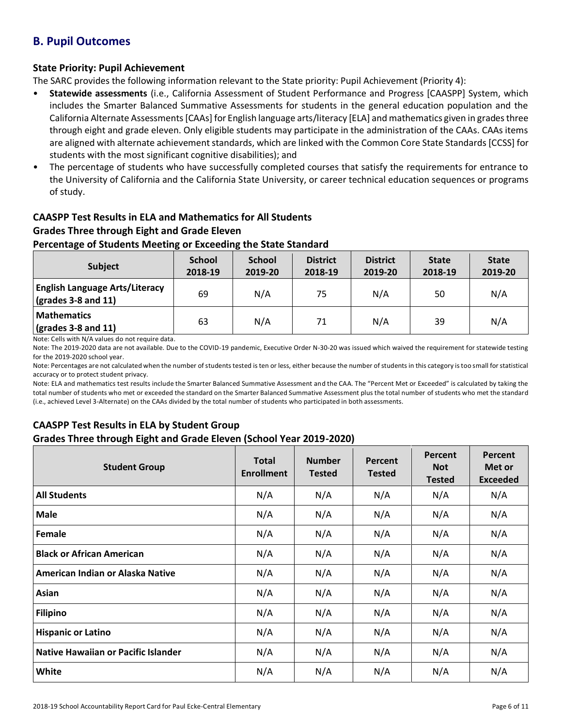# **B. Pupil Outcomes**

# **State Priority: Pupil Achievement**

The SARC provides the following information relevant to the State priority: Pupil Achievement (Priority 4):

- **Statewide assessments** (i.e., California Assessment of Student Performance and Progress [CAASPP] System, which includes the Smarter Balanced Summative Assessments for students in the general education population and the California Alternate Assessments [CAAs] for English language arts/literacy [ELA] and mathematics given in grades three through eight and grade eleven. Only eligible students may participate in the administration of the CAAs. CAAs items are aligned with alternate achievement standards, which are linked with the Common Core State Standards [CCSS] for students with the most significant cognitive disabilities); and
- The percentage of students who have successfully completed courses that satisfy the requirements for entrance to the University of California and the California State University, or career technical education sequences or programs of study.

# **CAASPP Test Results in ELA and Mathematics for All Students Grades Three through Eight and Grade Eleven**

### **Percentage of Students Meeting or Exceeding the State Standard**

| <b>Subject</b>                                                       | <b>School</b><br>2018-19 | <b>School</b><br>2019-20 | <b>District</b><br>2018-19 | <b>District</b><br>2019-20 | <b>State</b><br>2018-19 | <b>State</b><br>2019-20 |
|----------------------------------------------------------------------|--------------------------|--------------------------|----------------------------|----------------------------|-------------------------|-------------------------|
| <b>English Language Arts/Literacy</b><br>$\vert$ (grades 3-8 and 11) | 69                       | N/A                      | 75                         | N/A                        | 50                      | N/A                     |
| <b>Mathematics</b><br>$\sqrt{\frac{1}{2}}$ (grades 3-8 and 11)       | 63                       | N/A                      | 71                         | N/A                        | 39                      | N/A                     |

Note: Cells with N/A values do not require data.

Note: The 2019-2020 data are not available. Due to the COVID-19 pandemic, Executive Order N-30-20 was issued which waived the requirement for statewide testing for the 2019-2020 school year.

Note: Percentages are not calculated when the number of students tested is ten or less, either because the number of students in this category is too small for statistical accuracy or to protect student privacy.

Note: ELA and mathematics test results include the Smarter Balanced Summative Assessment and the CAA. The "Percent Met or Exceeded" is calculated by taking the total number of students who met or exceeded the standard on the Smarter Balanced Summative Assessment plus the total number of students who met the standard (i.e., achieved Level 3-Alternate) on the CAAs divided by the total number of students who participated in both assessments.

# **CAASPP Test Results in ELA by Student Group**

### **Grades Three through Eight and Grade Eleven (School Year 2019-2020)**

| <b>Student Group</b>                | <b>Total</b><br><b>Enrollment</b> | <b>Number</b><br><b>Tested</b> | Percent<br><b>Tested</b> | Percent<br><b>Not</b><br><b>Tested</b> | Percent<br>Met or<br><b>Exceeded</b> |
|-------------------------------------|-----------------------------------|--------------------------------|--------------------------|----------------------------------------|--------------------------------------|
| <b>All Students</b>                 | N/A                               | N/A                            | N/A                      | N/A                                    | N/A                                  |
| <b>Male</b>                         | N/A                               | N/A                            | N/A                      | N/A                                    | N/A                                  |
| Female                              | N/A                               | N/A                            | N/A                      | N/A                                    | N/A                                  |
| <b>Black or African American</b>    | N/A                               | N/A                            | N/A                      | N/A                                    | N/A                                  |
| American Indian or Alaska Native    | N/A                               | N/A                            | N/A                      | N/A                                    | N/A                                  |
| Asian                               | N/A                               | N/A                            | N/A                      | N/A                                    | N/A                                  |
| <b>Filipino</b>                     | N/A                               | N/A                            | N/A                      | N/A                                    | N/A                                  |
| <b>Hispanic or Latino</b>           | N/A                               | N/A                            | N/A                      | N/A                                    | N/A                                  |
| Native Hawaiian or Pacific Islander | N/A                               | N/A                            | N/A                      | N/A                                    | N/A                                  |
| White                               | N/A                               | N/A                            | N/A                      | N/A                                    | N/A                                  |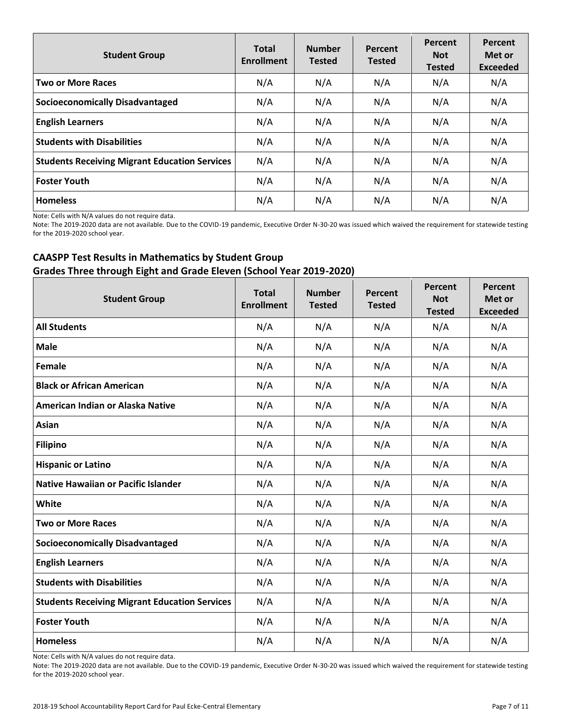| <b>Student Group</b>                                 | <b>Total</b><br><b>Enrollment</b> | <b>Number</b><br><b>Tested</b> | Percent<br><b>Tested</b> | Percent<br><b>Not</b><br><b>Tested</b> | Percent<br>Met or<br><b>Exceeded</b> |
|------------------------------------------------------|-----------------------------------|--------------------------------|--------------------------|----------------------------------------|--------------------------------------|
| <b>Two or More Races</b>                             | N/A                               | N/A                            | N/A                      | N/A                                    | N/A                                  |
| <b>Socioeconomically Disadvantaged</b>               | N/A                               | N/A                            | N/A                      | N/A                                    | N/A                                  |
| <b>English Learners</b>                              | N/A                               | N/A                            | N/A                      | N/A                                    | N/A                                  |
| <b>Students with Disabilities</b>                    | N/A                               | N/A                            | N/A                      | N/A                                    | N/A                                  |
| <b>Students Receiving Migrant Education Services</b> | N/A                               | N/A                            | N/A                      | N/A                                    | N/A                                  |
| <b>Foster Youth</b>                                  | N/A                               | N/A                            | N/A                      | N/A                                    | N/A                                  |
| <b>Homeless</b>                                      | N/A                               | N/A                            | N/A                      | N/A                                    | N/A                                  |

Note: Cells with N/A values do not require data.

Note: The 2019-2020 data are not available. Due to the COVID-19 pandemic, Executive Order N-30-20 was issued which waived the requirement for statewide testing for the 2019-2020 school year.

# **CAASPP Test Results in Mathematics by Student Group Grades Three through Eight and Grade Eleven (School Year 2019-2020)**

| <b>Student Group</b>                                 | <b>Total</b><br><b>Enrollment</b> | <b>Number</b><br><b>Tested</b> | Percent<br><b>Tested</b> | Percent<br><b>Not</b><br><b>Tested</b> | Percent<br>Met or<br><b>Exceeded</b> |
|------------------------------------------------------|-----------------------------------|--------------------------------|--------------------------|----------------------------------------|--------------------------------------|
| <b>All Students</b>                                  | N/A                               | N/A                            | N/A                      | N/A                                    | N/A                                  |
| <b>Male</b>                                          | N/A                               | N/A                            | N/A                      | N/A                                    | N/A                                  |
| Female                                               | N/A                               | N/A                            | N/A                      | N/A                                    | N/A                                  |
| <b>Black or African American</b>                     | N/A                               | N/A                            | N/A                      | N/A                                    | N/A                                  |
| American Indian or Alaska Native                     | N/A                               | N/A                            | N/A                      | N/A                                    | N/A                                  |
| Asian                                                | N/A                               | N/A                            | N/A                      | N/A                                    | N/A                                  |
| <b>Filipino</b>                                      | N/A                               | N/A                            | N/A                      | N/A                                    | N/A                                  |
| <b>Hispanic or Latino</b>                            | N/A                               | N/A                            | N/A                      | N/A                                    | N/A                                  |
| <b>Native Hawaiian or Pacific Islander</b>           | N/A                               | N/A                            | N/A                      | N/A                                    | N/A                                  |
| White                                                | N/A                               | N/A                            | N/A                      | N/A                                    | N/A                                  |
| <b>Two or More Races</b>                             | N/A                               | N/A                            | N/A                      | N/A                                    | N/A                                  |
| <b>Socioeconomically Disadvantaged</b>               | N/A                               | N/A                            | N/A                      | N/A                                    | N/A                                  |
| <b>English Learners</b>                              | N/A                               | N/A                            | N/A                      | N/A                                    | N/A                                  |
| <b>Students with Disabilities</b>                    | N/A                               | N/A                            | N/A                      | N/A                                    | N/A                                  |
| <b>Students Receiving Migrant Education Services</b> | N/A                               | N/A                            | N/A                      | N/A                                    | N/A                                  |
| <b>Foster Youth</b>                                  | N/A                               | N/A                            | N/A                      | N/A                                    | N/A                                  |
| <b>Homeless</b>                                      | N/A                               | N/A                            | N/A                      | N/A                                    | N/A                                  |

Note: Cells with N/A values do not require data.

Note: The 2019-2020 data are not available. Due to the COVID-19 pandemic, Executive Order N-30-20 was issued which waived the requirement for statewide testing for the 2019-2020 school year.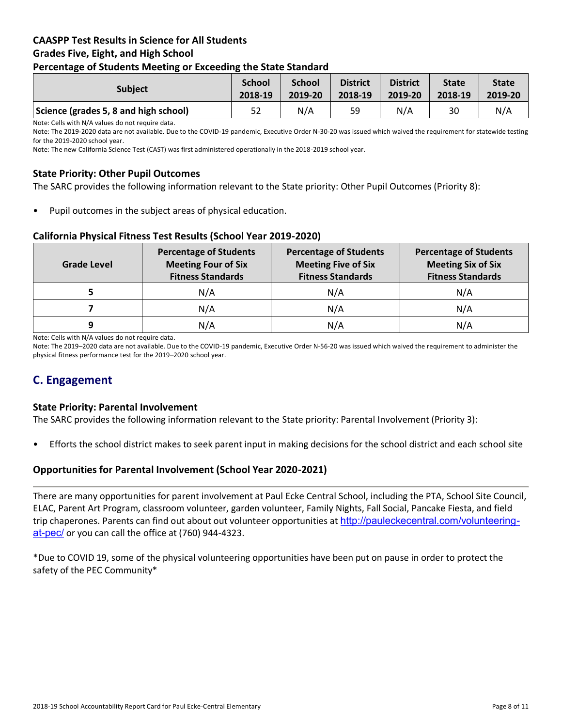### **CAASPP Test Results in Science for All Students Grades Five, Eight, and High School Percentage of Students Meeting or Exceeding the State Standard**

| . .                                   |                          |                          |                            |                            |                         |                         |
|---------------------------------------|--------------------------|--------------------------|----------------------------|----------------------------|-------------------------|-------------------------|
| <b>Subject</b>                        | <b>School</b><br>2018-19 | <b>School</b><br>2019-20 | <b>District</b><br>2018-19 | <b>District</b><br>2019-20 | <b>State</b><br>2018-19 | <b>State</b><br>2019-20 |
| Science (grades 5, 8 and high school) | 52                       | N/A                      | 59                         | N/A                        | 30                      | N/A                     |

Note: Cells with N/A values do not require data.

Note: The 2019-2020 data are not available. Due to the COVID-19 pandemic, Executive Order N-30-20 was issued which waived the requirement for statewide testing for the 2019-2020 school year.

Note: The new California Science Test (CAST) was first administered operationally in the 2018-2019 school year.

### **State Priority: Other Pupil Outcomes**

The SARC provides the following information relevant to the State priority: Other Pupil Outcomes (Priority 8):

Pupil outcomes in the subject areas of physical education.

### **California Physical Fitness Test Results (School Year 2019-2020)**

| <b>Grade Level</b> | <b>Percentage of Students</b><br><b>Meeting Four of Six</b><br><b>Fitness Standards</b> |     | <b>Percentage of Students</b><br><b>Meeting Six of Six</b><br><b>Fitness Standards</b> |  |
|--------------------|-----------------------------------------------------------------------------------------|-----|----------------------------------------------------------------------------------------|--|
|                    | N/A                                                                                     | N/A | N/A                                                                                    |  |
|                    | N/A                                                                                     | N/A | N/A                                                                                    |  |
| 9                  | N/A                                                                                     | N/A | N/A                                                                                    |  |

Note: Cells with N/A values do not require data.

Note: The 2019–2020 data are not available. Due to the COVID-19 pandemic, Executive Order N-56-20 was issued which waived the requirement to administer the physical fitness performance test for the 2019–2020 school year.

# **C. Engagement**

### **State Priority: Parental Involvement**

The SARC provides the following information relevant to the State priority: Parental Involvement (Priority 3):

• Efforts the school district makes to seek parent input in making decisions for the school district and each school site

### **Opportunities for Parental Involvement (School Year 2020-2021)**

There are many opportunities for parent involvement at Paul Ecke Central School, including the PTA, School Site Council, ELAC, Parent Art Program, classroom volunteer, garden volunteer, Family Nights, Fall Social, Pancake Fiesta, and field trip chaperones. Parents can find out about out volunteer opportunities at [http://pauleckecentral.com/volunteering](http://pauleckecentral.com/volunteering-at-pec/)[at-pec/](http://pauleckecentral.com/volunteering-at-pec/) or you can call the office at (760) 944-4323.

\*Due to COVID 19, some of the physical volunteering opportunities have been put on pause in order to protect the safety of the PEC Community\*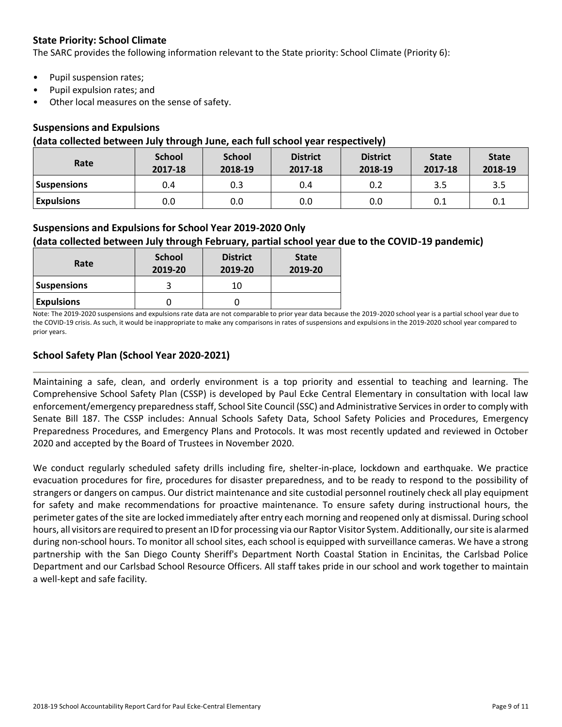# **State Priority: School Climate**

The SARC provides the following information relevant to the State priority: School Climate (Priority 6):

- Pupil suspension rates;
- Pupil expulsion rates; and
- Other local measures on the sense of safety.

### **Suspensions and Expulsions**

### **(data collected between July through June, each full school year respectively)**

| Rate               | <b>School</b><br>2017-18 | <b>School</b><br>2018-19 | <b>District</b><br>2017-18 | <b>District</b><br>2018-19 | <b>State</b><br>2017-18 | <b>State</b><br>2018-19 |
|--------------------|--------------------------|--------------------------|----------------------------|----------------------------|-------------------------|-------------------------|
| <b>Suspensions</b> | 0.4                      | 0.3                      | 0.4                        | 0.2                        | 3.5                     | 3.5                     |
| <b>Expulsions</b>  | 0.0                      | 0.0                      | 0.0                        | 0.0                        | 0.1                     | 0.1                     |

### **Suspensions and Expulsions for School Year 2019-2020 Only**

# **(data collected between July through February, partial school year due to the COVID-19 pandemic)**

| Rate               | <b>School</b><br>2019-20 | <b>District</b><br>2019-20 | <b>State</b><br>2019-20 |
|--------------------|--------------------------|----------------------------|-------------------------|
| <b>Suspensions</b> |                          | 10                         |                         |
| <b>Expulsions</b>  |                          |                            |                         |

Note: The 2019-2020 suspensions and expulsions rate data are not comparable to prior year data because the 2019-2020 school year is a partial school year due to the COVID-19 crisis. As such, it would be inappropriate to make any comparisons in rates of suspensions and expulsions in the 2019-2020 school year compared to prior years.

### **School Safety Plan (School Year 2020-2021)**

Maintaining a safe, clean, and orderly environment is a top priority and essential to teaching and learning. The Comprehensive School Safety Plan (CSSP) is developed by Paul Ecke Central Elementary in consultation with local law enforcement/emergency preparedness staff, School Site Council (SSC) and Administrative Services in order to comply with Senate Bill 187. The CSSP includes: Annual Schools Safety Data, School Safety Policies and Procedures, Emergency Preparedness Procedures, and Emergency Plans and Protocols. It was most recently updated and reviewed in October 2020 and accepted by the Board of Trustees in November 2020.

We conduct regularly scheduled safety drills including fire, shelter-in-place, lockdown and earthquake. We practice evacuation procedures for fire, procedures for disaster preparedness, and to be ready to respond to the possibility of strangers or dangers on campus. Our district maintenance and site custodial personnel routinely check all play equipment for safety and make recommendations for proactive maintenance. To ensure safety during instructional hours, the perimeter gates of the site are locked immediately after entry each morning and reopened only at dismissal. During school hours, all visitors are required to present an ID for processing via our Raptor Visitor System. Additionally, our site is alarmed during non-school hours. To monitor all school sites, each school is equipped with surveillance cameras. We have a strong partnership with the San Diego County Sheriff's Department North Coastal Station in Encinitas, the Carlsbad Police Department and our Carlsbad School Resource Officers. All staff takes pride in our school and work together to maintain a well-kept and safe facility.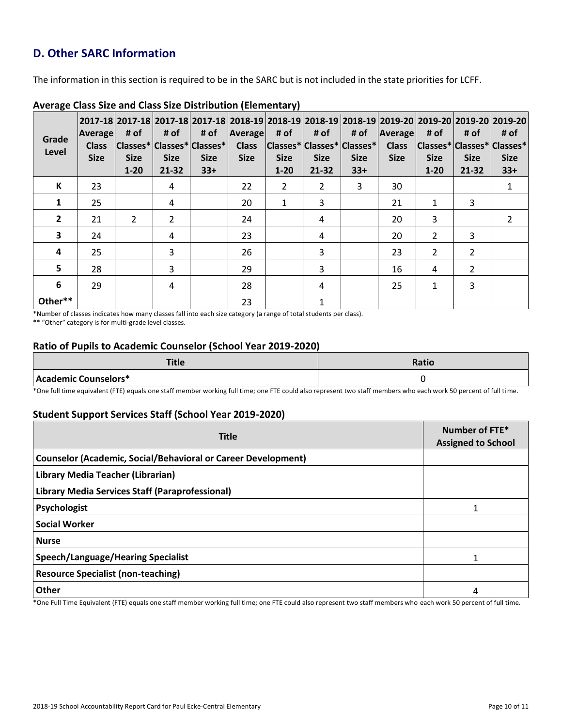# **D. Other SARC Information**

The information in this section is required to be in the SARC but is not included in the state priorities for LCFF.

| Grade<br>Level | <b>Average</b><br><b>Class</b><br><b>Size</b> | # of<br> Classes* Classes* Classes* <br><b>Size</b><br>$1 - 20$ | # of<br><b>Size</b><br>$21 - 32$ | # of<br><b>Size</b><br>$33+$ | Average<br><b>Class</b><br><b>Size</b> | # of<br><b>Size</b><br>$1 - 20$ | # of<br> Classes* Classes* Classes* <br><b>Size</b><br>$21 - 32$ | # of<br><b>Size</b><br>$33+$ | Average<br><b>Class</b><br><b>Size</b> | 2017-18 2017-18 2017-18 2017-18 2018-19 2018-19 2018-19 2018-19 2019-20 2019-20 2019-20 2019-20 <br># of<br> Classes* Classes* Classes*<br><b>Size</b><br>$1 - 20$ | # of<br><b>Size</b><br>21-32 | # of<br><b>Size</b><br>$33+$ |
|----------------|-----------------------------------------------|-----------------------------------------------------------------|----------------------------------|------------------------------|----------------------------------------|---------------------------------|------------------------------------------------------------------|------------------------------|----------------------------------------|--------------------------------------------------------------------------------------------------------------------------------------------------------------------|------------------------------|------------------------------|
| К              | 23                                            |                                                                 | 4                                |                              | 22                                     | $\overline{2}$                  | $\overline{2}$                                                   | 3                            | 30                                     |                                                                                                                                                                    |                              | $\mathbf{1}$                 |
| $\mathbf{1}$   | 25                                            |                                                                 | 4                                |                              | 20                                     | 1                               | 3                                                                |                              | 21                                     | 1                                                                                                                                                                  | 3                            |                              |
| $\overline{2}$ | 21                                            | $\overline{2}$                                                  | $\overline{2}$                   |                              | 24                                     |                                 | 4                                                                |                              | 20                                     | 3                                                                                                                                                                  |                              | $\mathcal{L}$                |
| 3              | 24                                            |                                                                 | 4                                |                              | 23                                     |                                 | 4                                                                |                              | 20                                     | 2                                                                                                                                                                  | 3                            |                              |
| 4              | 25                                            |                                                                 | 3                                |                              | 26                                     |                                 | 3                                                                |                              | 23                                     | 2                                                                                                                                                                  | 2                            |                              |
| 5              | 28                                            |                                                                 | 3                                |                              | 29                                     |                                 | 3                                                                |                              | 16                                     | 4                                                                                                                                                                  | $\overline{2}$               |                              |
| 6              | 29                                            |                                                                 | 4                                |                              | 28                                     |                                 | 4                                                                |                              | 25                                     | $\mathbf{1}$                                                                                                                                                       | 3                            |                              |
| Other**        |                                               |                                                                 |                                  |                              | 23                                     |                                 | $\mathbf{1}$                                                     |                              |                                        |                                                                                                                                                                    |                              |                              |

### **Average Class Size and Class Size Distribution (Elementary)**

\*Number of classes indicates how many classes fall into each size category (a range of total students per class).

\*\* "Other" category is for multi-grade level classes.

### **Ratio of Pupils to Academic Counselor (School Year 2019-2020)**

| Title                | Ratio |
|----------------------|-------|
| Academic Counselors* |       |

\*One full time equivalent (FTE) equals one staff member working full time; one FTE could also represent two staff members who each work 50 percent of full time.

### **Student Support Services Staff (School Year 2019-2020)**

| <b>Title</b>                                                         | Number of FTE*<br><b>Assigned to School</b> |
|----------------------------------------------------------------------|---------------------------------------------|
| <b>Counselor (Academic, Social/Behavioral or Career Development)</b> |                                             |
| Library Media Teacher (Librarian)                                    |                                             |
| Library Media Services Staff (Paraprofessional)                      |                                             |
| Psychologist                                                         |                                             |
| <b>Social Worker</b>                                                 |                                             |
| <b>Nurse</b>                                                         |                                             |
| Speech/Language/Hearing Specialist                                   |                                             |
| <b>Resource Specialist (non-teaching)</b>                            |                                             |
| <b>Other</b>                                                         | 4                                           |

\*One Full Time Equivalent (FTE) equals one staff member working full time; one FTE could also represent two staff members who each work 50 percent of full time.